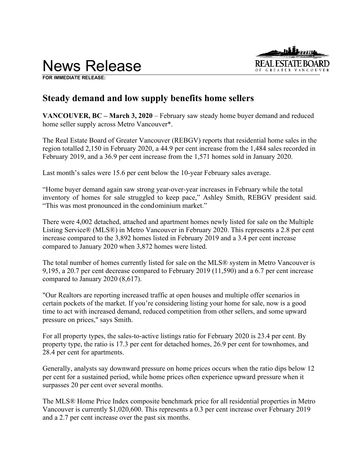



**FOR IMMEDIATE RELEASE:**

# **Steady demand and low supply benefits home sellers**

**VANCOUVER, BC – March 3, 2020** – February saw steady home buyer demand and reduced home seller supply across Metro Vancouver\*.

The Real Estate Board of Greater Vancouver (REBGV) reports that residential home sales in the region totalled 2,150 in February 2020, a 44.9 per cent increase from the 1,484 sales recorded in February 2019, and a 36.9 per cent increase from the 1,571 homes sold in January 2020.

Last month's sales were 15.6 per cent below the 10-year February sales average.

"Home buyer demand again saw strong year-over-year increases in February while the total inventory of homes for sale struggled to keep pace," Ashley Smith, REBGV president said. "This was most pronounced in the condominium market."

There were 4,002 detached, attached and apartment homes newly listed for sale on the Multiple Listing Service® (MLS®) in Metro Vancouver in February 2020. This represents a 2.8 per cent increase compared to the 3,892 homes listed in February 2019 and a 3.4 per cent increase compared to January 2020 when 3,872 homes were listed.

The total number of homes currently listed for sale on the MLS® system in Metro Vancouver is 9,195, a 20.7 per cent decrease compared to February 2019 (11,590) and a 6.7 per cent increase compared to January 2020 (8,617).

"Our Realtors are reporting increased traffic at open houses and multiple offer scenarios in certain pockets of the market. If you're considering listing your home for sale, now is a good time to act with increased demand, reduced competition from other sellers, and some upward pressure on prices," says Smith.

For all property types, the sales-to-active listings ratio for February 2020 is 23.4 per cent. By property type, the ratio is 17.3 per cent for detached homes, 26.9 per cent for townhomes, and 28.4 per cent for apartments.

Generally, analysts say downward pressure on home prices occurs when the ratio dips below 12 per cent for a sustained period, while home prices often experience upward pressure when it surpasses 20 per cent over several months.

The MLS® Home Price Index composite benchmark price for all residential properties in Metro Vancouver is currently \$1,020,600. This represents a 0.3 per cent increase over February 2019 and a 2.7 per cent increase over the past six months.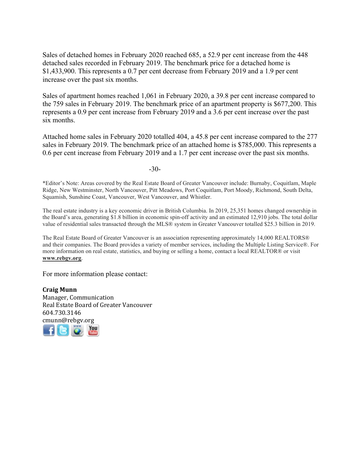Sales of detached homes in February 2020 reached 685, a 52.9 per cent increase from the 448 detached sales recorded in February 2019. The benchmark price for a detached home is \$1,433,900. This represents a 0.7 per cent decrease from February 2019 and a 1.9 per cent increase over the past six months.

Sales of apartment homes reached 1,061 in February 2020, a 39.8 per cent increase compared to the 759 sales in February 2019. The benchmark price of an apartment property is \$677,200. This represents a 0.9 per cent increase from February 2019 and a 3.6 per cent increase over the past six months.

Attached home sales in February 2020 totalled 404, a 45.8 per cent increase compared to the 277 sales in February 2019. The benchmark price of an attached home is \$785,000. This represents a 0.6 per cent increase from February 2019 and a 1.7 per cent increase over the past six months.

-30-

\*Editor's Note: Areas covered by the Real Estate Board of Greater Vancouver include: Burnaby, Coquitlam, Maple Ridge, New Westminster, North Vancouver, Pitt Meadows, Port Coquitlam, Port Moody, Richmond, South Delta, Squamish, Sunshine Coast, Vancouver, West Vancouver, and Whistler.

The real estate industry is a key economic driver in British Columbia. In 2019, 25,351 homes changed ownership in the Board's area, generating \$1.8 billion in economic spin-off activity and an estimated 12,910 jobs. The total dollar value of residential sales transacted through the MLS® system in Greater Vancouver totalled \$25.3 billion in 2019.

The Real Estate Board of Greater Vancouver is an association representing approximately 14,000 REALTORS® and their companies. The Board provides a variety of member services, including the Multiple Listing Service®. For more information on real estate, statistics, and buying or selling a home, contact a local REALTOR® or visit **www.rebgv.org**.

For more information please contact:

**Craig Munn** Manager, Communication Real Estate Board of Greater Vancouver 604.730.3146 [cmu](http://www.facebook.com/rebgv)[nn@r](http://www.twitter.com/rebgv)[ebgv.](http://www.rebgv.org/)[org](http://www.youtube.com/user/rebgv)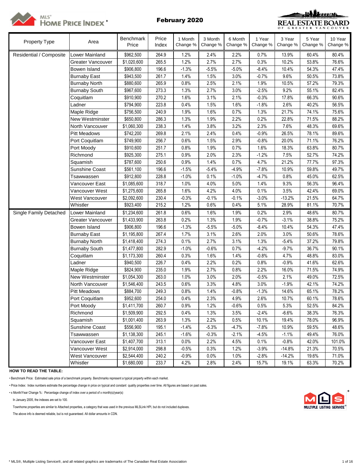



| Property Type           | Area                  | Benchmark<br>Price      | Price<br>Index | 1 Month<br>Change % | 3 Month<br>Change % | 6 Month<br>Change % | 1 Year<br>Change % | 3 Year<br>Change % | 5 Year<br>Change % | 10 Year<br>Change % |
|-------------------------|-----------------------|-------------------------|----------------|---------------------|---------------------|---------------------|--------------------|--------------------|--------------------|---------------------|
| Residential / Composite | Lower Mainland        | \$962,500               | 264.9          | 1.2%                | 2.4%                | 2.2%                | 0.7%               | 13.9%              | 60.4%              | 80.4%               |
|                         | Greater Vancouver     | \$1,020,600             | 265.5          | 1.2%                | 2.7%                | 2.7%                | 0.3%               | 10.2%              | 53.8%              | 76.6%               |
|                         | Bowen Island          | \$906,800               | 196.6          | $-1.3%$             | $-5.5%$             | $-5.0%$             | $-8.4%$            | 10.4%              | 54.3%              | 47.4%               |
|                         | <b>Burnaby East</b>   | \$943,500               | 261.7          | 1.4%                | 1.5%                | 3.0%                | $-0.7%$            | 9.6%               | 50.5%              | 73.8%               |
|                         | <b>Burnaby North</b>  | \$880,600               | 265.9          | 0.8%                | 2.5%                | 2.1%                | 1.9%               | 10.5%              | 57.2%              | 79.3%               |
|                         | <b>Burnaby South</b>  | \$967,600               | 273.3          | 1.3%                | 2.7%                | 3.0%                | $-2.5%$            | 9.2%               | 55.1%              | 82.4%               |
|                         | Coquitlam             | \$910,900               | 270.2          | 1.6%                | 3.1%                | 2.1%                | $-0.3%$            | 17.8%              | 66.3%              | 90.6%               |
|                         | Ladner                | \$794,900               | 223.8          | 0.4%                | 1.5%                | 1.6%                | $-1.8%$            | 2.6%               | 40.2%              | 56.5%               |
|                         | Maple Ridge           | \$756,500               | 240.9          | 1.9%                | 1.6%                | 0.7%                | 1.3%               | 21.7%              | 74.1%              | 75.6%               |
|                         | New Westminster       | \$650,800               | 286.3          | 1.3%                | 1.9%                | 2.2%                | 0.2%               | 22.8%              | 71.5%              | 88.2%               |
|                         | North Vancouver       | \$1,060,300             | 238.3          | 1.4%                | 3.8%                | 3.2%                | 2.3%               | 7.6%               | 48.3%              | 69.6%               |
|                         | <b>Pitt Meadows</b>   | \$742,200               | 269.8          | 2.1%                | 2.4%                | 0.4%                | $-0.9%$            | 26.5%              | 78.1%              | 89.6%               |
|                         | Port Coquitlam        | \$749,900               | 256.7          | 0.6%                | 1.5%                | 2.9%                | $-0.8%$            | 20.0%              | 71.1%              | 76.2%               |
|                         | Port Moody            | \$910,600               | 251.7          | 0.8%                | 1.9%                | 0.7%                | 1.6%               | 18.3%              | 63.8%              | 80.7%               |
|                         | Richmond              | \$925,300               | 275.1          | 0.9%                | 2.0%                | 2.3%                | $-1.2%$            | 7.5%               | 52.7%              | 74.2%               |
|                         | Squamish              | \$787,600               | 250.6          | 0.9%                | 1.4%                | 0.7%                | 4.7%               | 21.2%              | 77.7%              | 97.3%               |
|                         | <b>Sunshine Coast</b> | \$561,100               | 196.6          | $-1.5%$             | $-5.4%$             | $-4.9%$             | $-7.8%$            | 10.9%              | 59.8%              | 49.7%               |
|                         | Tsawwassen            | \$912,800               | 228.8          | $-1.0%$             | 0.1%                | $-1.0%$             | $-4.7%$            | 0.8%               | 45.0%              | 62.5%               |
|                         | Vancouver East        | \$1,085,600             | 318.7          | 1.0%                | 4.0%                | 5.0%                | 1.4%               | 9.3%               | 56.3%              | 96.4%               |
|                         | Vancouver West        | \$1,275,600             | 265.8          | 1.6%                | 4.2%                | 4.0%                | 0.1%               | 3.5%               | 42.4%              | 69.0%               |
|                         | West Vancouver        | \$2,092,600             | 230.4          | $-0.3%$             | $-0.1%$             | $-0.1%$             | $-3.0%$            | $-13.2%$           | 21.5%              | 64.7%               |
|                         | Whistler              | \$923,400               | 215.2          | 1.2%                | 0.6%                | 0.4%                | 5.1%               | 28.9%              | 81.1%              | 70.7%               |
| Single Family Detached  | Lower Mainland        | $\overline{$}1,234,600$ | 261.8          | 0.6%                | 1.6%                | 1.9%                | 0.2%               | 2.9%               | 48.6%              | 80.7%               |
|                         | Greater Vancouver     | \$1,433,900             | 263.8          | 0.2%                | 1.3%                | 1.9%                | $-0.7%$            | $-3.1%$            | 38.8%              | 75.2%               |
|                         | Bowen Island          | \$906,800               | 196.6          | $-1.3%$             | $-5.5%$             | $-5.0%$             | $-8.4%$            | 10.4%              | 54.3%              | 47.4%               |
|                         | <b>Burnaby East</b>   | \$1,195,800             | 267.4          | 1.7%                | 3.1%                | 2.6%                | 2.0%               | 3.0%               | 50.6%              | 78.6%               |
|                         | <b>Burnaby North</b>  | \$1,418,400             | 274.3          | 0.1%                | 2.7%                | 3.1%                | 1.3%               | $-5.4%$            | 37.2%              | 79.8%               |
|                         | <b>Burnaby South</b>  | \$1,477,800             | 282.9          | $-1.0%$             | $-0.6%$             | 0.7%                | $-4.2%$            | $-9.7%$            | 36.7%              | 90.1%               |
|                         | Coquitlam             | \$1,173,300             | 260.4          | 0.3%                | 1.6%                | 1.4%                | $-0.8%$            | 4.7%               | 48.8%              | 83.0%               |
|                         | Ladner                | \$940,500               | 226.7          | 0.4%                | 2.2%                | 0.2%                | 0.8%               | $-0.9%$            | 41.6%              | 62.6%               |
|                         | Maple Ridge           | \$824,900               | 235.0          | 1.9%                | 2.7%                | 0.8%                | 2.2%               | 16.0%              | 71.5%              | 74.9%               |
|                         | New Westminster       | \$1,054,300             | 263.0          | 1.0%                | 3.0%                | 2.0%                | $-0.5%$            | 2.1%               | 49.0%              | 72.5%               |
|                         | North Vancouver       | \$1,546,400             | 243.5          | 0.6%                | 3.3%                | 4.8%                | 3.0%               | $-1.9%$            | 42.1%              | 74.2%               |
|                         | <b>Pitt Meadows</b>   | \$884,700               | 249.3          | 0.8%                | 1.4%                | $-0.8%$             | $-1.3%$            | 14.6%              | 65.1%              | 78.2%               |
|                         | Port Coquitlam        | \$952,600               | 254.0          | 0.4%                | 2.3%                | 4.9%                | 2.6%               | 10.7%              | 60.1%              | 78.6%               |
|                         | Port Moody            | \$1,411,700             | 260.7          | 0.9%                | 1.2%                | $-0.6%$             | 0.5%               | 5.3%               | 52.5%              | 84.2%               |
|                         | Richmond              | \$1,509,900             | 292.5          | 0.4%                | 1.3%                | 3.5%                | $-2.4%$            | $-6.6%$            | 38.3%              | 76.3%               |
|                         | Squamish              | \$1,001,400             | 263.9          | 1.3%                | 2.2%                | 0.5%                | 10.1%              | 19.4%              | 78.0%              | 96.9%               |
|                         | Sunshine Coast        | \$556,900               | 195.1          | $-1.4%$             | $-5.3%$             | $-4.7%$             | $-7.8%$            | 10.9%              | 59.5%              | 48.6%               |
|                         | Tsawwassen            | \$1,138,300             | 245.1          | $-1.6%$             | $-0.3%$             | $-2.1%$             | $-4.5%$            | $-1.1%$            | 49.4%              | 76.0%               |
|                         | Vancouver East        | \$1,407,700             | 313.1          | 0.0%                | 2.2%                | 4.5%                | 0.1%               | $-0.8%$            | 42.0%              | 101.0%              |
|                         | Vancouver West        | \$2,914,000             | 298.8          | $-0.5%$             | 0.3%                | 1.2%                | $-3.9%$            | $-14.8%$           | 21.3%              | 70.5%               |
|                         | West Vancouver        | \$2,544,400             | 240.2          | $-0.9%$             | 0.0%                | 1.0%                | $-2.8%$            | $-14.2%$           | 19.6%              | 71.0%               |
|                         | Whistler              | \$1,680,000             | 233.7          | 4.2%                | 2.8%                | 2.4%                | 15.7%              | 19.1%              | 63.3%              | 70.2%               |

# **HOW TO READ THE TABLE:**

• Benchmark Price: Estimated sale price of a benchmark property. Benchmarks represent a typical property within each market.

• Price Index: Index numbers estimate the percentage change in price on typical and constant quality properties over time. All figures are based on past sales.

• x Month/Year Change %: Percentage change of index over a period of x month(s)/year(s) \*

In January 2005, the indexes are set to 100.

Townhome properties are similar to Attached properties, a category that was used in the previous MLSLink HPI, but do not included duplexes.

The above info is deemed reliable, but is not guaranteed. All dollar amounts in CDN.

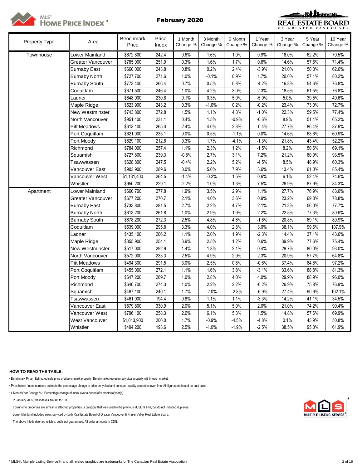



| Property Type | Area                 | Benchmark<br>Price | Price<br>Index | 1 Month<br>Change % | 3 Month<br>Change % | 6 Month<br>Change % | 1 Year<br>Change % | 3 Year<br>Change % | 5 Year<br>Change % | 10 Year<br>Change % |
|---------------|----------------------|--------------------|----------------|---------------------|---------------------|---------------------|--------------------|--------------------|--------------------|---------------------|
| Townhouse     | Lower Mainland       | \$672,800          | 242.4          | 0.6%                | 1.6%                | 1.0%                | 0.9%               | 18.0%              | 62.2%              | 70.5%               |
|               | Greater Vancouver    | \$785,000          | 251.9          | 0.3%                | 1.6%                | 1.7%                | 0.6%               | 14.6%              | 57.6%              | 71.4%               |
|               | <b>Burnaby East</b>  | \$660,000          | 243.8          | 0.8%                | 0.2%                | 2.4%                | $-3.9%$            | 21.0%              | 50.8%              | 62.6%               |
|               | <b>Burnaby North</b> | \$727,700          | 271.6          | 1.0%                | $-0.1%$             | 0.9%                | 1.7%               | 20.0%              | 57.1%              | 80.2%               |
|               | <b>Burnaby South</b> | \$773,400          | 266.4          | 0.7%                | 0.5%                | 0.8%                | $-4.2%$            | 16.8%              | 54.6%              | 76.8%               |
|               | Coquitlam            | \$671,500          | 246.4          | 1.0%                | 4.2%                | 3.0%                | 2.3%               | 18.5%              | 61.5%              | 76.8%               |
|               | Ladner               | \$648,900          | 230.8          | 0.1%                | 0.3%                | 5.0%                | $-5.0%$            | 5.0%               | 39.5%              | 49.6%               |
|               | Maple Ridge          | \$523,900          | 243.2          | 0.3%                | $-1.0%$             | 0.2%                | $-0.2%$            | 23.4%              | 73.0%              | 72.7%               |
|               | New Westminster      | \$743,800          | 272.8          | 1.5%                | 1.1%                | 4.3%                | $-1.0%$            | 22.3%              | 59.5%              | 77.4%               |
|               | North Vancouver      | \$951,100          | 231.1          | 0.4%                | 1.5%                | $-0.9%$             | $-0.6%$            | 8.9%               | 51.4%              | 65.2%               |
|               | <b>Pitt Meadows</b>  | \$613,100          | 265.3          | 2.4%                | 4.0%                | 2.3%                | $-0.4%$            | 27.7%              | 86.4%              | 87.9%               |
|               | Port Coquitlam       | \$621,000          | 235.1          | 0.0%                | 0.5%                | $-1.1%$             | 0.0%               | 14.6%              | 63.6%              | 60.9%               |
|               | Port Moody           | \$629,100          | 212.6          | 0.3%                | 1.7%                | $-4.1%$             | $-1.3%$            | 21.8%              | 43.4%              | 52.2%               |
|               | Richmond             | \$784,000          | 257.4          | 1.1%                | 2.3%                | 1.2%                | $-1.5%$            | 8.2%               | 50.6%              | 69.1%               |
|               | Squamish             | \$727,800          | 239.3          | $-0.8%$             | 2.7%                | 3.1%                | 7.2%               | 21.2%              | 80.9%              | 93.5%               |
|               | Tsawwassen           | \$628,800          | 247.5          | $-0.4%$             | 2.2%                | 5.2%                | $-4.5%$            | 8.5%               | 48.9%              | 60.3%               |
|               | Vancouver East       | \$903,900          | 289.6          | 0.0%                | 5.0%                | 7.9%                | 3.6%               | 13.4%              | 61.0%              | 85.4%               |
|               | Vancouver West       | \$1,131,400        | 264.5          | $-1.4%$             | $-0.2%$             | 1.5%                | 0.6%               | 6.1%               | 52.4%              | 74.6%               |
|               | Whistler             | \$950,200          | 229.1          | $-2.2%$             | 1.0%                | 1.3%                | 7.5%               | 26.9%              | 87.9%              | 84.3%               |
| Apartment     | Lower Mainland       | \$660,700          | 277.8          | 1.9%                | 3.5%                | 2.9%                | 1.1%               | 27.7%              | 76.9%              | 83.6%               |
|               | Greater Vancouver    | \$677,200          | 270.7          | 2.1%                | 4.0%                | 3.6%                | 0.9%               | 23.2%              | 69.8%              | 78.8%               |
|               | <b>Burnaby East</b>  | \$733,800          | 281.5          | 2.7%                | 2.2%                | 4.7%                | 2.1%               | 21.3%              | 56.0%              | 77.7%               |
|               | <b>Burnaby North</b> | \$613,200          | 261.8          | 1.0%                | 2.9%                | 1.9%                | 2.2%               | 22.5%              | 77.3%              | 80.6%               |
|               | <b>Burnaby South</b> | \$678,200          | 272.3          | 2.5%                | 4.8%                | 4.6%                | $-1.6%$            | 20.8%              | 69.1%              | 80.9%               |
|               | Coquitlam            | \$539,000          | 295.8          | 3.3%                | 4.0%                | 2.8%                | 3.0%               | 38.1%              | 99.6%              | 107.9%              |
|               | Ladner               | \$435,100          | 206.2          | 1.1%                | 2.0%                | 1.9%                | $-2.3%$            | 14.4%              | 37.1%              | 43.6%               |
|               | Maple Ridge          | \$355,900          | 254.1          | 3.9%                | 2.5%                | 1.2%                | 0.6%               | 39.9%              | 77.6%              | 75.4%               |
|               | New Westminster      | \$517,000          | 292.9          | 1.4%                | 1.8%                | 2.1%                | 0.4%               | 29.7%              | 80.0%              | 93.0%               |
|               | North Vancouver      | \$572,000          | 233.3          | 2.5%                | 4.9%                | 2.9%                | 2.3%               | 20.9%              | 57.7%              | 64.8%               |
|               | <b>Pitt Meadows</b>  | \$494,300          | 291.5          | 3.0%                | 2.5%                | 0.8%                | $-0.6%$            | 37.4%              | 84.8%              | 97.2%               |
|               | Port Coquitlam       | \$455,000          | 272.1          | 1.1%                | 1.6%                | 3.8%                | $-3.1%$            | 33.6%              | 88.8%              | 81.3%               |
|               | Port Moody           | \$647,200          | 269.7          | 1.0%                | 2.8%                | 4.0%                | 4.0%               | 29.9%              | 88.9%              | 96.0%               |
|               | Richmond             | \$640,700          | 274.3          | 1.0%                | 2.2%                | 2.2%                | $-0.2%$            | 26.9%              | 75.8%              | 76.9%               |
|               | Squamish             | \$487,100          | 240.1          | 1.7%                | $-2.0%$             | $-2.8%$             | $-6.9%$            | 27.4%              | 90.9%              | 102.1%              |
|               | Tsawwassen           | \$461,000          | 194.4          | 0.8%                | 1.1%                | 1.1%                | $-3.3%$            | 14.2%              | 41.1%              | 34.5%               |
|               | Vancouver East       | \$579,800          | 330.9          | 2.0%                | 5.1%                | 5.0%                | 2.0%               | 21.0%              | 74.2%              | 90.4%               |
|               | Vancouver West       | \$796,100          | 258.3          | 2.6%                | 6.1%                | 5.3%                | 1.5%               | 14.8%              | 57.6%              | 69.9%               |
|               | West Vancouver       | \$1,013,900        | 206.0          | 1.7%                | $-0.9%$             | $-4.5%$             | $-4.8%$            | 0.1%               | 43.9%              | 50.8%               |
|               | Whistler             | \$494,200          | 193.6          | 2.5%                | $-1.0%$             | $-1.9%$             | $-2.5%$            | 38.5%              | 95.8%              | 61.9%               |

## **HOW TO READ THE TABLE:**

• Benchmark Price: Estimated sale price of a benchmark property. Benchmarks represent a typical property within each market.

• Price Index: Index numbers estimate the percentage change in price on typical and constant quality properties over time. All figures are based on past sales.

• x Month/Year Change %: Percentage change of index over a period of x month(s)/year(s)

In January 2005, the indexes are set to 100.

Townhome properties are similar to attached properties, a category that was used in the previous MLSLink HPI, but do not included duplexes.

Lower Mainland includes areas serviced by both Real Estate Board of Greater Vancouver & Fraser Valley Real Estate Board.

The above info is deemed reliable, but is not guaranteed. All dollar amounts in CDN.

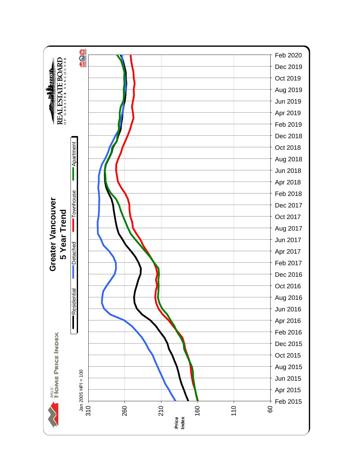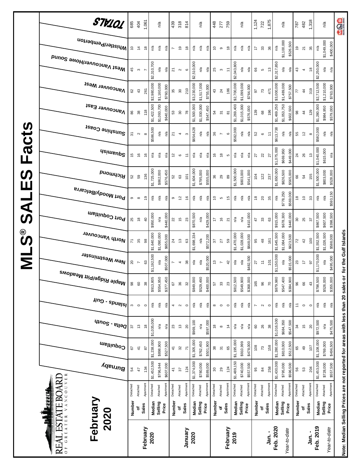|                      | STV101                              | 685            | 404                      | 1,061          |             | n′a                     |           | 439            | 318               | 814                      |             | n/a         |           | 448                                        | 277                      | 759                   |             | n/a         |           | 1,124              | 722               | 1,875                        |             | n/a                     |           | 787                         | 482                     | 1,318         |             | n/a                            | age                                                                               |
|----------------------|-------------------------------------|----------------|--------------------------|----------------|-------------|-------------------------|-----------|----------------|-------------------|--------------------------|-------------|-------------|-----------|--------------------------------------------|--------------------------|-----------------------|-------------|-------------|-----------|--------------------|-------------------|------------------------------|-------------|-------------------------|-----------|-----------------------------|-------------------------|---------------|-------------|--------------------------------|-----------------------------------------------------------------------------------|
|                      | Whistler/Pemberton                  | $\tilde{c}$    | $\tilde{z}$              | $\frac{8}{2}$  | n/a         | n/a                     | n/a       | r              | စ္                | $\frac{8}{1}$            | n/a         | n/a         | n/a       | $\tilde{c}$                                | $\circ$                  | $\frac{8}{2}$         | n/a         | n/a         | n/a       | 17                 | 33                | 36                           | n/a         | \$1,100,000             | \$526,500 | e,                          | $\overline{\mathbf{2}}$ | 35            | n/a         | \$1,049,000<br>\$400,000       |                                                                                   |
|                      | Mest Vancouver/Howe Sound           | 45             | $\boldsymbol{\varsigma}$ |                | \$2,310,700 | n/a                     | n/a       | 21             | $\sim$            | $\mathbf \omega$         | \$2,510,000 | n/a         | n/a       | 25                                         | $\boldsymbol{\infty}$    | $\tilde{t}$           | \$2,043,800 | n/a         | n/a       | 86                 | Ю                 | $\mathrel{\mathop:}^{\circ}$ | \$2,317,850 | $\mathsf{n}/\mathsf{a}$ | n/a       | 43                          | 4                       | $\frac{8}{1}$ | \$2,250,000 | ηá<br>n/a                      |                                                                                   |
|                      | <b>Vancouver West</b>               | 82             | 43                       | 261            | \$2,980,000 | \$1,160,000             | \$760,000 | 35             | $\rm ^{30}$       | 210                      | \$3,230,000 | \$1,517,000 | \$755,000 | $43\,$                                     | $^{24}$                  | 186                   | \$2,700,000 | \$1,099,000 | \$764,000 | 57                 | $\mathcal{V}^3$   | 471                          | \$3,000,000 | \$1,489,000             | \$757,500 | 77                          | $\frac{4}{3}$           | 319           | \$2,712,500 | \$1,210,000<br>\$763,000       |                                                                                   |
|                      | Vancouver East                      | 86             | $\rm 8$                  | 118            | \$1,422,500 | \$1,093,700             | \$640,000 | 53             | $\rm 30$          | 78                       | \$1,500,000 | \$1,030,000 | \$547,450 | 54                                         | $\overline{5}$           | $\overline{8}$        | \$1,269,400 | \$1,015,000 | \$576,000 | 139                | $^{\rm 63}$       | 196                          | \$1,469,250 | \$1,053,750             | \$602,500 | 98                          | $\frac{4}{3}$           | 129           | \$1,280,000 | \$984,950<br>\$579,000         |                                                                                   |
| Facts                | Sunshine Coast                      | $\overline{3}$ | $\mathbf{\Omega}$        | $\infty$       | \$586,500   | ηá                      | n′a       | 21             | 4                 | $\boldsymbol{\varsigma}$ | \$654,628   | ηá          | n/a       | $36\,$                                     | $\overline{ }$           | $\mathbf  \circ$      | \$582,000   | ρÅ          | n/a       | 52                 | $\mathbf  \circ$  | $\tilde{t}$                  | \$613,738   | n/a                     | n/a       | 55                          | $\frac{1}{2}$           | $\infty$      | \$582,000   | n/a<br>n/a                     |                                                                                   |
|                      | <b>Usimenp<sup>2</sup></b>          | 45             | $\frac{6}{2}$            | $\frac{6}{5}$  | n/a         | n/a                     | n/a       | 2              | $\circ$           | Ξ                        | n/a         | n/a         | n/a       | 9                                          | $\frac{8}{2}$            | Б                     | n/a         | ്ദ          | n/a       | $\overline{27}$    | 22                | 27                           | \$1,075,000 | \$669,950<br>\$449,000  |           | $^{24}$                     | 26                      | $\frac{3}{2}$ | \$1,040,000 | \$615,000<br>n/a               |                                                                                   |
| <b>S</b><br>Ш        | <b>PuowyoiA</b>                     | 52             | 59                       | 136            | \$1,725,000 | \$862,000               | \$576,450 | 52             | $\mathbb{S}^3$    | $\frac{2}{10}$           | \$1,604,000 | \$795,000   | \$555,000 | $36\,$                                     | 29                       | 89                    | \$1,500,000 | \$803,000   | \$541,000 | 104                | 122               | 237                          | \$1,650,000 | \$826,500               | \$565,000 | 86                          | 54                      | 155           | \$1,500,000 | \$803,000<br>\$528,000         |                                                                                   |
| $\blacktriangleleft$ | Port Moody/Belcarra                 | Φ              | $\infty$                 | é,             | Ρå          | ్డి                     | n/a       | G              | $\tilde{c}$       | $\frac{6}{5}$            | n/a         | n/a         | n/a       | Ċ,                                         | Б                        | $\frac{5}{2}$         | n/a         | n/a         | n/a       | \$                 | $_{20}$           | 35                           | n/a         | \$778,250               | \$569,000 | $\frac{8}{1}$               | $\tilde{=}$             | 33            | n/a         | \$593,150<br>n/a               |                                                                                   |
| ၯ                    | Port Coquitlam                      | 25             | $\frac{8}{2}$            | $\overline{6}$ | \$950,000   | n/a                     | \$440,000 | $_{22}$        | 15                | $23\,$                   | \$870,500   | n/a         | \$429,000 | 17                                         | $\frac{6}{5}$            | 21                    | n/a         | ്ദ          | \$410,000 | 47                 | $33\,$            | යි                           | \$915,000   | \$678,300               | \$440,000 | $30\,$                      | 25                      | 57            | \$867,500   | \$607,500<br>\$398,500         |                                                                                   |
| ©<br>ဟ               | North Vancouver                     | 71             | 35                       | 8              | \$1,640,000 | \$1,090,000             | \$655,000 | $^{24}$        | $\frac{1}{2}$     | 63                       | \$1,698,334 | n/a         | \$572,200 | 57                                         | 27                       | 59                    | \$1,470,000 | \$1,028,000 | \$648,000 | 95                 | $48$              | 161                          | \$1,645,500 | \$1,084,000             | \$623,500 | $\overline{z}$              | 42                      | 100           | \$1,552,500 | \$1,026,500<br>\$588,000       | for the Gulf Islands                                                              |
| Σ                    | New Westminster                     | $20\,$         | $\overline{\phantom{a}}$ | 3              | \$1,192,500 | n/a                     | \$507,000 | $\overline{ }$ | 4                 | 38                       | n/a         | n/a         | \$520,000 | $\mathrel{\mathop{\mathfrak{S}}}\nolimits$ | $\overline{ }$           | $\overline{4}$        | n/a         | n/a         | \$482,500 | 27                 | $\ddot{=}$        | $\overline{5}$               | \$1,150,000 | n/a                     | \$515,000 | 23                          | $\ddot{ }$              | 5             | \$1,170,000 | \$495,000<br>n/a               |                                                                                   |
|                      | <sup>Maple Ridge/Pitt Meadows</sup> | 98             | 60                       | $38$           | \$913,805   | \$554,950               | \$377,450 | 67             | 36                | 32                       | \$849,000   | \$529,490   | \$400,000 | 57                                         | $33\,$                   | 23                    | \$812,500   | \$549,900   | \$368,000 | 165                | 96                | $\overline{C}$               | \$879,980   | \$547,400               | \$384,900 | 96                          | 66                      | 43            | \$798,500   | \$526,000<br>\$355,000         |                                                                                   |
|                      | $\mu$ ng - spuelsl                  | S              | $\circ$                  | $\circ$        | Ρá          | $\mathsf{n}^\mathsf{d}$ | ηá        | 4              | $\mathbf{\Omega}$ | $\circ$                  | $n/a$       | n/a         | n/a       | $^{\circ}$                                 | $\circ$                  | $\circ$               | n/a         | n/a         | n/a       | N                  | $\mathbf{\Omega}$ | $\circ$                      | Ρā          | $\mathsf{n}^\mathsf{d}$ | ηã        | $\stackrel{1}{\rightarrow}$ | $\circ$                 | $\circ$       | Ρá          | $\mathsf{p}_\mathsf{q}$<br>n/a |                                                                                   |
|                      | $q_{100}$ s - $e_{1100}$            | 57             | 13                       | $\frac{8}{1}$  | \$1,035,000 | n/a                     | n/a       | 23             | $\frac{1}{2}$     | $\approx$                | \$969,100   | n/a         | \$597,000 | $\frac{8}{2}$                              | $\infty$                 | $\frac{4}{4}$         | n/a         | n/a         | n/a       | $\pmb{\mathbb{S}}$ | 26                | $38\,$                       | \$1,016,500 | \$684,350               | \$547,500 | 34                          | $\frac{5}{2}$           | 20            | \$972,500   | \$475,500<br>n/a               |                                                                                   |
|                      | Coquitlam                           | 5              | $\pm$                    | 28             | \$1,238,000 | \$898,900               | \$527,500 | $\frac{4}{7}$  | $\rm 32$          | $\overline{\kappa}$      | \$1,305,000 | \$762,450   | \$501,900 | 38                                         | $\overline{\mathcal{E}}$ | 8                     | \$1,195,000 | \$910,999   | \$478,000 | 108                | 73                | 158                          | \$1,280,000 | \$810,000               | \$512,500 | 65                          | $\overline{a}$          | 107           | \$1,108,000 | \$769,000<br>\$496,500         |                                                                                   |
|                      | Burnaby                             | 54             | 47                       | 134            | \$1,452,500 | \$796,944               | \$607,000 | $\frac{4}{1}$  | $\sqrt{6}$        | 124                      | \$1,374,000 | \$780,000   | \$589,000 | $\rm ^{30}$                                | 29                       | 124                   | \$1,489,150 | \$740,000   | \$557,500 | 95                 | $\frac{8}{4}$     | 258                          | \$1,430,000 | \$795,000<br>\$596,500  |           | 56                          | ${\tt 53}$              | 204           | \$1,453,000 | \$728,000<br>\$557,500         |                                                                                   |
|                      | VANCOUVER<br>AL ESTATE BOARI        | Detached       | Attached                 | Apartment      | Detached    | Attached                | Apartment | Detached       | Attached          | Apartmen                 | Detached    | Attached    | Apartment | Detached                                   | Attached                 | Apartmen <sup>-</sup> | Detached    | Attached    | Apartment | Detached           | Attached          | Apartmen <sup>-</sup>        | Detached    | Apartmen<br>Attached    |           | Detached                    | Attached                | Apartment     | Detached    | Apartment<br>Attached          |                                                                                   |
|                      | <u>an ing</u><br>February<br>2020   | <b>Number</b>  | ٥                        | Sales          | Median      | Selling<br>Price        |           | Number         | ٥                 | Sales                    | Median      | Selling     | Price     | Number                                     | ٥                        | <b>Sales</b>          | Median      | Selling     | Price     | Number             | ō                 | Sales                        | Median      | Selling<br>Price        |           | Number                      | ٥f                      | <b>Sales</b>  | Median      | Selling<br>Price               |                                                                                   |
|                      | RE<br>$\overline{0}$ F              |                |                          | February       | 2020        |                         |           |                |                   | January                  | 2020        |             |           |                                            |                          | February              | 2019        |             |           |                    |                   | ່ງ<br>ສຸ                     | Feb. 2020   | Year-to-date            |           |                             |                         | Jan.-         | Feb. 2019   | Year-to-date                   | Note: Median Selling Prices are not reported for areas with less than 20 sales or |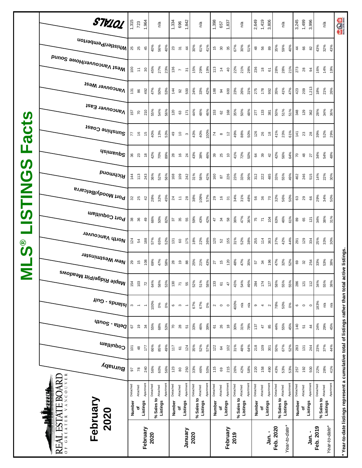| acts<br>ட<br>$\boldsymbol{\omega}$ | Whistler/Pemberton<br>Mest Vancouver/Howe Sound<br><b>Vancouver West</b><br>Vancouver East<br>Sunshine Coast<br><b>Asimeup<sup>2</sup></b><br><b>Puowyoi</b> | $\overline{100}$<br>$\overline{131}$<br>157<br>77<br>144 | 25<br>$\overleftarrow{\tau}$<br>86<br>$\overline{70}$<br>$\frac{6}{5}$<br><b>36</b> 23<br>113 | 45<br>$30\,$<br>492<br>210<br>15<br>$\overset{\circ}{\phantom{a}}$<br>243 | 40%<br>45%<br>47%<br>55%<br>40%<br>42%<br>36% | 56%<br>27%<br>50%<br>54%<br>13%<br>70%<br>52% | 40%<br>23%<br>53%<br>56%<br>53%<br>89%<br>56% | 136<br>144<br>120<br>$\overline{49}$<br>28<br>168 | $23$ $\overline{5}$<br>$\overline{\phantom{a}}$<br>92<br>63<br>$\tilde{a}$<br>$\frac{6}{5}$<br>109 | $\frac{4}{3}$<br>$\overline{5}$<br>500<br>171<br>S<br>$\overline{24}$<br>242 | 30%<br>15%<br>24%<br>44%<br>43%<br>43%<br>31% | 61%<br>29%<br>33%<br>48%<br>40%<br>38%<br>58% | 41%<br>19%<br>42%<br>46%<br>100%<br>46%<br>42% | $113$<br>188<br>153<br>$\mathcal{F}_{\mathcal{A}}$<br>160 | $\frac{15}{21}$<br>$\ddot{4}$<br>94<br>62<br>$\infty$<br>39<br>25<br>28 | 35<br>$\overline{4}$<br>600<br>168<br>$\tilde{c}$<br>$\tilde{c}$<br>226 | 67%<br>22%<br>23%<br>35%<br>49%<br>41%<br>23% | 30%<br>21%<br>26%<br>50%<br>88%<br>72%<br>33% | 51%<br>28%<br>31%<br>48%<br>50%<br>50%<br>39% | 48<br>236<br>275<br>277<br>126<br>64<br>312 | 56<br>$\overset{\circ}{\phantom{a}}$<br>178<br>133<br>26<br>39<br>222 | 89<br>61<br>992<br>381<br>$\frac{8}{2}$<br>42<br>485 | 35%<br>28%<br>35%<br>50%<br>41%<br>42%<br>33% | 59%<br>28%<br>41%<br>51%<br>23%<br>56%<br>55% | 40%<br>21%<br>47%<br>51%<br>61%<br>64%<br>49% | $\frac{4}{4}$<br>273<br>423<br>348<br>141<br>7048<br>462 | 89<br>$28$<br>209<br>129<br>23<br>246 | $82$<br>94<br>1,213<br>362<br>$28$<br>27<br>515 | 43%<br>16%<br>18%<br>28%<br>39%<br>34%<br>14%              | 32%<br>14%<br>19%<br>21%<br>34%<br>52%<br>54%<br>22% | aga<br>43%<br>26%<br>36%<br>29%<br>48%<br>30% |
|------------------------------------|--------------------------------------------------------------------------------------------------------------------------------------------------------------|----------------------------------------------------------|-----------------------------------------------------------------------------------------------|---------------------------------------------------------------------------|-----------------------------------------------|-----------------------------------------------|-----------------------------------------------|---------------------------------------------------|----------------------------------------------------------------------------------------------------|------------------------------------------------------------------------------|-----------------------------------------------|-----------------------------------------------|------------------------------------------------|-----------------------------------------------------------|-------------------------------------------------------------------------|-------------------------------------------------------------------------|-----------------------------------------------|-----------------------------------------------|-----------------------------------------------|---------------------------------------------|-----------------------------------------------------------------------|------------------------------------------------------|-----------------------------------------------|-----------------------------------------------|-----------------------------------------------|----------------------------------------------------------|---------------------------------------|-------------------------------------------------|------------------------------------------------------------|------------------------------------------------------|-----------------------------------------------|
| <b>USTING</b>                      | Port Moody/Belcarra<br>Port Coquitlam                                                                                                                        |                                                          | $32^{2}$<br><b>38</b>                                                                         | 42<br>49                                                                  | 28%<br>66%                                    | 32%<br>50%                                    | 45%<br>82%                                    | 57                                                | $\frac{4}{2}$ $\approx$<br>35                                                                      | 28<br>55                                                                     | 38%<br>59%                                    | 109%<br>43%                                   | 57%<br>42%                                     | 29 16                                                     | 47                                                                      | $\overline{5}$<br>58                                                    | 34%<br>36%                                    | 31%<br>47%                                    | 48%<br>36%                                    | 56<br>75                                    | 36<br>$\overline{\kappa}$                                             | $\overline{70}$<br>104                               | 32%<br>63%                                    | 56%<br>46%                                    | 50%<br>61%                                    | 63<br>29<br>$_{\rm 89}$                                  | 65                                    | 66<br>121                                       | 29%<br>34%                                                 | 34%<br>38%<br>31%                                    | 50%                                           |
| ိ<br>(၇<br><u>Ц</u><br>М           | North Vancouver<br>New Westminster<br><sup>Maple Ridge/Pitt Meadows</sup>                                                                                    | 124<br>154                                               | $\mathbf{r}_4$<br>29<br>15<br>103                                                             | 188<br>108<br>72                                                          | 57%<br>69%<br>64%                             | 65%<br>47%<br>58%                             | 52%<br>58%<br>53%                             | $\overline{131}$<br>$28$<br>130                   | $\mbox{6}$<br>$\frac{1}{2}$<br>$\overline{\kappa}$                                                 | 175<br>88<br>55                                                              | 18%<br>25%<br>52%                             | 22%<br>21%<br>51%                             | 36%<br>43%<br>58%                              | 120<br>133                                                | 52<br>$27$<br>15<br>$\overline{\mathbf{6}}$                             | 155<br>$\overline{20}$<br>$\overline{4}$                                | 31%<br>48%<br>43%                             | 52%<br>47%<br>54%                             | 38%<br>35%<br>49%                             | 255<br>57<br>54<br>284                      | 114<br>174                                                            | 363<br>196<br>127                                    | 37%<br>47%<br>58%                             | 42%<br>32%<br>55%                             | 44%<br>52%<br>55%                             | 291<br>8 32<br>286                                       | 129<br>121                            | 334<br>254<br>112                               | 25%<br>33%<br>34%                                          | 33%<br>30%<br>53%<br>55%                             | ;<br>د ان<br>38%<br>38%                       |
|                                    | $\mu$ ng - spuelsl<br>$q_{100}$ s - $e_{1100}$                                                                                                               | $\boldsymbol{\upsigma}$<br>67                            | $\overline{\phantom{a}}$<br>$\overline{9}$                                                    | $\overline{\phantom{a}}$<br>$\frac{3}{4}$                                 | 100%<br>55%                                   | 0%<br>68%                                     | 0%<br>53%                                     | $\mathbf  \circ$<br>$\sqrt{2}$                    | $\mathfrak{g}$<br>$28$                                                                             | $\overline{\phantom{a}}$<br>5                                                | 67%<br>33%                                    | 67%<br>46%                                    | 0%<br>39%                                      | $\overline{6}$                                            | $N$ O<br>26                                                             | $\circ$<br>$\frac{8}{2}$                                                | 400%<br>30%                                   | $\mathsf{n}'$ a<br>31%                        | n'a<br>78%                                    | თ<br>137                                    | $\overline{\mathcal{A}}$<br>47                                        | $\sim$<br>85                                         | 78%<br>44%                                    | 50%<br>55%                                    | 0%<br>45%                                     | $\mathbf 0$<br>140                                       | $\circ$<br>51                         | $\circ$<br>$\frac{4}{3}$                        | 183%<br>24%                                                | ηá<br>29%                                            | nathar than tata lac<br>n/a<br>45%            |
|                                    | Coquitlam<br>Burnaby                                                                                                                                         | 101                                                      | $\frac{a}{2}$                                                                                 | 177                                                                       | 66%                                           | 85%                                           | 49%                                           | 117                                               | 6                                                                                                  | 124                                                                          | 35%                                           | 52%                                           | 57%                                            | 122                                                       | $\mathfrak{g}$                                                          | 102                                                                     | 31%                                           | 48%                                           | 64%                                           | 218                                         | 109                                                                   | 301                                                  | 50%                                           | 67%                                           | 52%                                           | 283                                                      | 131                                   | 244                                             | 23%                                                        | 37%                                                  | mulative total of listings<br>44%             |
|                                    | VANCOUVER<br>JARI<br><b>Albrew</b><br>AL ESTATE BO<br>February<br>2020<br>REAI<br>$\overline{0}$                                                             | 56<br>Detached<br>Number                                 | 78<br>Attached                                                                                | 240<br>Apartment<br>Listings<br>February                                  | 56%<br>Detached<br>2020                       | 60%<br>% Sales to Attached<br>Listings        | 56%<br>Apartment                              | 123<br>Detached<br>Number                         | $\rm ^{\rm 6}$<br>Attached<br>৳                                                                    | 250<br>Apartment<br>Listings<br>January                                      | 33%<br>Detached<br>2020                       | 46%<br>Attached<br>% Sales to<br>Listings     | 50%<br>Apartment                               | 115<br>Detached<br>Number                                 | 69<br>Attached                                                          | 215<br>Apartment<br>Listings<br>February                                | 26%<br>Detached<br>% Sales to<br>2019         | 42%<br>Attached<br>Listings                   | 58%<br>Apartment                              | 220<br>Detached<br>Number                   | 158<br>Attached<br>৳                                                  | 490<br>Apartment<br>Listings<br>Jan.-                | 43%<br>Detached<br>% Sales to<br>Feb. 2020    | 53%<br>Attached<br>Listings<br>Year-to-date*  | 53%<br>Apartment                              | 257<br>Detached<br>Number                                | 192<br>Attached                       | 500<br>Apartment<br>Listings<br>Jan.-           | 22%<br>Detached<br>% Sales to <b>Attached</b><br>Feb. 2019 | 28%<br>Apartment<br>Listings<br>Year-to-date*        | 41%<br><b>Cationi</b><br>$\ddot{x}$           |

I ľ í Ľ Ì.  $\overline{\mathbb{C}}$  $\overline{\mathcal{L}}$ 

**\* Year-to-date listings represent a cumulative total of listings rather than total active listings.**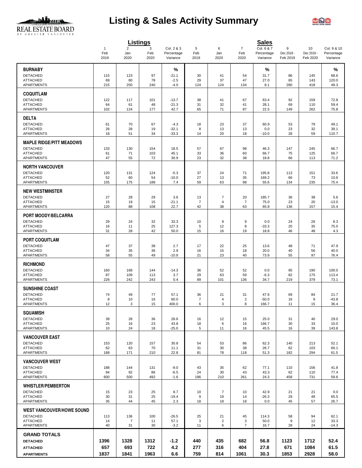

# **Listing & Sales Activity Summary**



|                                           |                             |                               | <b>Listings</b>  |                                      |                      |                      |                               | <b>Sales</b>                         |                             |                              |                                       |
|-------------------------------------------|-----------------------------|-------------------------------|------------------|--------------------------------------|----------------------|----------------------|-------------------------------|--------------------------------------|-----------------------------|------------------------------|---------------------------------------|
|                                           | $\mathbf{1}$<br>Feb<br>2019 | $\overline{2}$<br>Jan<br>2020 | 3<br>Feb<br>2020 | Col. 2 & 3<br>Percentage<br>Variance | 5<br>Feb<br>2019     | 6<br>Jan<br>2020     | $\overline{7}$<br>Feb<br>2020 | Col. 6 & 7<br>Percentage<br>Variance | 9<br>Dec 2018 -<br>Feb 2019 | 10<br>Dec 2019 -<br>Feb 2020 | Col. 9 & 10<br>Percentage<br>Variance |
| <b>BURNABY</b>                            |                             |                               |                  | %                                    |                      |                      |                               | %                                    |                             |                              | %                                     |
| <b>DETACHED</b>                           | 115                         | 123                           | 97               | $-21.1$                              | 30                   | 41                   | 54                            | 31.7                                 | 86                          | 145                          | 68.6                                  |
| <b>ATTACHED</b>                           | 69                          | 80                            | 78               | $-2.5$                               | 29                   | 37                   | 47                            | 27.0                                 | 65                          | 143                          | 120.0                                 |
| <b>APARTMENTS</b>                         | 215                         | 250                           | 240              | $-4.0$                               | 124                  | 124                  | 134                           | 8.1                                  | 280                         | 418                          | 49.3                                  |
| <b>COQUITLAM</b>                          |                             |                               |                  |                                      |                      |                      |                               |                                      |                             |                              |                                       |
| <b>DETACHED</b>                           | 122                         | 117                           | 101              | $-13.7$                              | 38                   | 41                   | 67                            | 63.4                                 | 92                          | 159                          | 72.8                                  |
| <b>ATTACHED</b><br><b>APARTMENTS</b>      | 64<br>102                   | 61<br>124                     | 48<br>177        | $-21.3$<br>42.7                      | 31<br>65             | 32<br>71             | 41<br>87                      | 28.1<br>22.5                         | 69<br>149                   | 110<br>262                   | 59.4<br>75.8                          |
|                                           |                             |                               |                  |                                      |                      |                      |                               |                                      |                             |                              |                                       |
| <b>DELTA</b><br><b>DETACHED</b>           | 61                          | 70                            | 67               | $-4.3$                               | 18                   | 23                   | 37                            | 60.9                                 | 53                          | 79                           | 49.1                                  |
| <b>ATTACHED</b>                           | 26                          | 28                            | 19               | $-32.1$                              | 8                    | 13                   | 13                            | 0.0                                  | 23                          | 32                           | 39.1                                  |
| <b>APARTMENTS</b>                         | 18                          | 51                            | 34               | $-33.3$                              | 14                   | 20                   | 18                            | $-10.0$                              | 28                          | 59                           | 110.7                                 |
| <b>MAPLE RIDGE/PITT MEADOWS</b>           |                             |                               |                  |                                      |                      |                      |                               |                                      |                             |                              |                                       |
| <b>DETACHED</b>                           | 133                         | 130                           | 154              | 18.5                                 | 57                   | 67                   | 98                            | 46.3                                 | 147                         | 245                          | 66.7                                  |
| <b>ATTACHED</b><br>APARTMENTS             | 61<br>47                    | 71<br>55                      | 103<br>72        | 45.1<br>30.9                         | 33<br>23             | 36<br>32             | 60<br>38                      | 66.7<br>18.8                         | 75<br>66                    | 125<br>113                   | 66.7<br>71.2                          |
|                                           |                             |                               |                  |                                      |                      |                      |                               |                                      |                             |                              |                                       |
| <b>NORTH VANCOUVER</b><br><b>DETACHED</b> |                             |                               |                  |                                      |                      |                      |                               |                                      |                             |                              |                                       |
| <b>ATTACHED</b>                           | 120<br>52                   | 131<br>60                     | 124<br>54        | $-5.3$<br>$-10.0$                    | 37<br>27             | 24<br>13             | 71<br>35                      | 195.8<br>169.2                       | 113<br>66                   | 151<br>73                    | 33.6<br>10.6                          |
| <b>APARTMENTS</b>                         | 155                         | 175                           | 188              | 7.4                                  | 59                   | 63                   | 98                            | 55.6                                 | 134                         | 235                          | 75.4                                  |
| <b>NEW WESTMINSTER</b>                    |                             |                               |                  |                                      |                      |                      |                               |                                      |                             |                              |                                       |
| <b>DETACHED</b>                           | 27                          | 28                            | 29               | 3.6                                  | 13                   | $\overline{7}$       | 20                            | 185.7                                | 36                          | 38                           | 5.6                                   |
| <b>ATTACHED</b><br><b>APARTMENTS</b>      | 15<br>120                   | 19<br>88                      | 15<br>108        | $-21.1$<br>22.7                      | $\overline{7}$<br>42 | 4<br>38              | $\overline{7}$<br>63          | 75.0<br>65.8                         | 23<br>136                   | 20<br>157                    | $-13.0$<br>15.4                       |
|                                           |                             |                               |                  |                                      |                      |                      |                               |                                      |                             |                              |                                       |
| PORT MOODY/BELCARRA<br><b>DETACHED</b>    | 29                          | 24                            | 32               | 33.3                                 | 10                   | 9                    | 9                             | 0.0                                  | 24                          | 26                           | 8.3                                   |
| <b>ATTACHED</b>                           | 16                          | 11                            | 25               | 127.3                                | 5                    | 12                   | 8                             | $-33.3$                              | 20                          | 35                           | 75.0                                  |
| <b>APARTMENTS</b>                         | 31                          | 28                            | 42               | 50.0                                 | 15                   | 16                   | 19                            | 18.8                                 | 46                          | 48                           | 4.3                                   |
| <b>PORT COQUITLAM</b>                     |                             |                               |                  |                                      |                      |                      |                               |                                      |                             |                              |                                       |
| <b>DETACHED</b>                           | 47                          | 37                            | 38               | 2.7                                  | 17                   | 22                   | 25                            | 13.6                                 | 48                          | 71                           | 47.9                                  |
| <b>ATTACHED</b><br><b>APARTMENTS</b>      | 34<br>58                    | 35<br>55                      | 36<br>49         | 2.9<br>$-10.9$                       | 16<br>21             | 15<br>23             | 18<br>40                      | 20.0<br>73.9                         | 40<br>55                    | 56<br>97                     | 40.0<br>76.4                          |
|                                           |                             |                               |                  |                                      |                      |                      |                               |                                      |                             |                              |                                       |
| <b>RICHMOND</b><br><b>DETACHED</b>        |                             |                               |                  |                                      |                      |                      |                               |                                      |                             |                              |                                       |
| <b>ATTACHED</b>                           | 160<br>87                   | 168<br>109                    | 144<br>113       | $-14.3$<br>3.7                       | 36<br>29             | 52<br>63             | 52<br>59                      | 0.0<br>$-6.3$                        | 95<br>82                    | 190<br>175                   | 100.0<br>113.4                        |
| <b>APARTMENTS</b>                         | 226                         | 242                           | 243              | 0.4                                  | 89                   | 101                  | 136                           | 34.7                                 | 219                         | 379                          | 73.1                                  |
| <b>SUNSHINE COAST</b>                     |                             |                               |                  |                                      |                      |                      |                               |                                      |                             |                              |                                       |
| <b>DETACHED</b>                           | 74                          | 49                            | 77               | 57.1                                 | 36                   | 21                   | 31                            | 47.6                                 | 69                          | 84                           | 21.7                                  |
| <b>ATTACHED</b><br>APARTMENTS             | 8<br>12                     | 10<br>3                       | 16<br>15         | 60.0<br>400.0                        | $\overline{7}$<br>6  | $\overline{4}$<br>3  | $\overline{c}$<br>8           | $-50.0$<br>166.7                     | 16<br>11                    | 9<br>15                      | $-43.8$<br>36.4                       |
|                                           |                             |                               |                  |                                      |                      |                      |                               |                                      |                             |                              |                                       |
| <b>SQUAMISH</b><br><b>DETACHED</b>        | 39                          | 28                            | 36               | 28.6                                 | 16                   | 12                   | 15                            | 25.0                                 | 31                          | 40                           | 29.0                                  |
| <b>ATTACHED</b>                           | 25                          | 16                            | 23               | 43.8                                 | 18                   | 6                    | 16                            | 166.7                                | 30                          | 33                           | 10.0                                  |
| APARTMENTS                                | 10                          | 24                            | 18               | $-25.0$                              | 5                    | 11                   | 16                            | 45.5                                 | 16                          | 39                           | 143.8                                 |
| <b>VANCOUVER EAST</b>                     |                             |                               |                  |                                      |                      |                      |                               |                                      |                             |                              |                                       |
| <b>DETACHED</b>                           | 153                         | 120                           | 157              | 30.8                                 | 54                   | 53                   | 86                            | 62.3                                 | 140                         | 213                          | 52.1                                  |
| <b>ATTACHED</b><br>APARTMENTS             | 62<br>168                   | 63<br>171                     | 70<br>210        | 11.1<br>22.8                         | 31<br>81             | 30<br>78             | 38<br>118                     | 26.7<br>51.3                         | 62<br>182                   | 103<br>294                   | 66.1<br>61.5                          |
| <b>VANCOUVER WEST</b>                     |                             |                               |                  |                                      |                      |                      |                               |                                      |                             |                              |                                       |
| <b>DETACHED</b>                           | 188                         | 144                           | 131              | $-9.0$                               | 43                   | 35                   | 62                            | 77.1                                 | 110                         | 156                          | 41.8                                  |
| <b>ATTACHED</b>                           | 94                          | 92                            | 86               | $-6.5$                               | 24                   | 30                   | 43                            | 43.3                                 | 62                          | 110                          | 77.4                                  |
| APARTMENTS                                | 600                         | 500                           | 492              | $-1.6$                               | 186                  | 210                  | 261                           | 24.3                                 | 458                         | 731                          | 59.6                                  |
| <b>WHISTLER/PEMBERTON</b>                 |                             |                               |                  |                                      |                      |                      |                               |                                      |                             |                              |                                       |
| <b>DETACHED</b><br><b>ATTACHED</b>        | 15<br>30                    | 23                            | 25<br>25         | 8.7                                  | 10<br>9              | $\overline{7}$<br>19 | 10                            | 42.9<br>$-26.3$                      | 21<br>29                    | 21<br>48                     | 0.0<br>65.5                           |
| <b>APARTMENTS</b>                         | 35                          | 31<br>44                      | 45               | $-19.4$<br>2.3                       | 18                   | 18                   | 14<br>18                      | 0.0                                  | 45                          | 57                           | 26.7                                  |
| <b>WEST VANCOUVER/HOWE SOUND</b>          |                             |                               |                  |                                      |                      |                      |                               |                                      |                             |                              |                                       |
| <b>DETACHED</b>                           | 113                         | 136                           | 100              | $-26.5$                              | 25                   | 21                   | 45                            | 114.3                                | 58                          | 94                           | 62.1                                  |
| <b>ATTACHED</b>                           | 14                          | 7                             | 11               | 57.1                                 | 3                    | $\overline{2}$       | 3                             | 50.0                                 | 9                           | 12                           | 33.3                                  |
| APARTMENTS                                | 40                          | 31                            | 30               | $-3.2$                               | 11                   | 6                    | $\overline{7}$                | 16.7                                 | 28                          | 24                           | $-14.3$                               |
| <b>GRAND TOTALS</b>                       |                             |                               |                  |                                      |                      |                      |                               |                                      |                             |                              |                                       |
| <b>DETACHED</b>                           | 1396                        | 1328                          | 1312             | $-1.2$                               | 440                  | 435                  | 682                           | 56.8                                 | 1123                        | 1712                         | 52.4                                  |
| <b>ATTACHED</b>                           | 657                         | 693                           | 722              | 4.2                                  | 277                  | 316                  | 404                           | 27.8                                 | 671                         | 1084                         | 61.5                                  |
| <b>APARTMENTS</b>                         | 1837                        | 1841                          | 1963             | 6.6                                  | 759                  | 814                  | 1061                          | 30.3                                 | 1853                        | 2928                         | 58.0                                  |